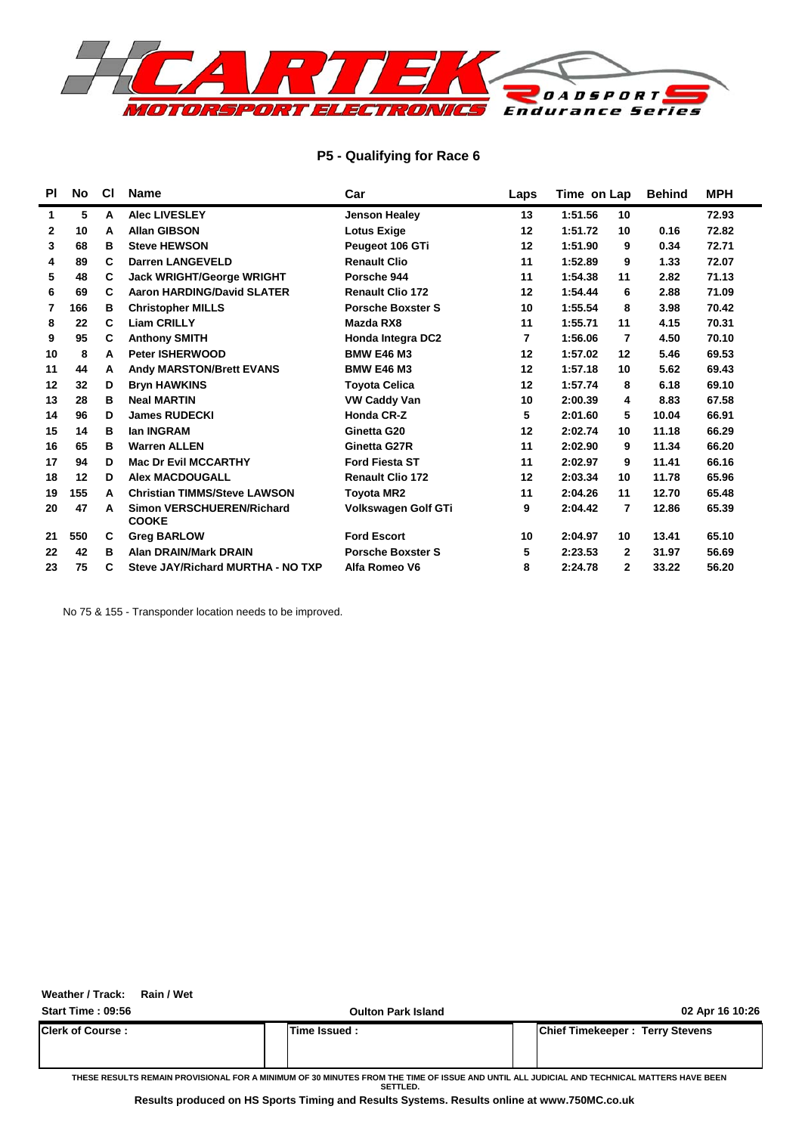

#### **P5 - Qualifying for Race 6**

| <b>PI</b> | No  | <b>CI</b> | <b>Name</b>                                      | Car                        | Laps    | Time on Lap               | <b>Behind</b> | <b>MPH</b> |
|-----------|-----|-----------|--------------------------------------------------|----------------------------|---------|---------------------------|---------------|------------|
| 1         | 5   | A         | <b>Alec LIVESLEY</b>                             | <b>Jenson Healey</b>       | 13      | 1:51.56<br>10             |               | 72.93      |
| 2         | 10  | A         | <b>Allan GIBSON</b>                              | <b>Lotus Exige</b>         | 12      | 1:51.72<br>10             | 0.16          | 72.82      |
| 3         | 68  | в         | <b>Steve HEWSON</b>                              | Peugeot 106 GTi            | 12      | 1:51.90<br>9              | 0.34          | 72.71      |
| 4         | 89  | C         | <b>Darren LANGEVELD</b>                          | <b>Renault Clio</b>        | 11      | 1:52.89<br>9              | 1.33          | 72.07      |
| 5         | 48  | С         | <b>Jack WRIGHT/George WRIGHT</b>                 | Porsche 944                | 11      | 1:54.38<br>11             | 2.82          | 71.13      |
| 6         | 69  | C         | <b>Aaron HARDING/David SLATER</b>                | <b>Renault Clio 172</b>    | 12      | 1:54.44<br>6              | 2.88          | 71.09      |
| 7         | 166 | в         | <b>Christopher MILLS</b>                         | <b>Porsche Boxster S</b>   | 10      | 1:55.54<br>8              | 3.98          | 70.42      |
| 8         | 22  | C         | <b>Liam CRILLY</b>                               | Mazda RX8                  | 11      | 1:55.71<br>11             | 4.15          | 70.31      |
| 9         | 95  | C         | <b>Anthony SMITH</b>                             | Honda Integra DC2          | 7       | 1:56.06<br>7              | 4.50          | 70.10      |
| 10        | 8   | A         | <b>Peter ISHERWOOD</b>                           | <b>BMW E46 M3</b>          | 12      | 1:57.02<br>12             | 5.46          | 69.53      |
| 11        | 44  | А         | <b>Andy MARSTON/Brett EVANS</b>                  | <b>BMW E46 M3</b>          | $12 \,$ | 1:57.18<br>10             | 5.62          | 69.43      |
| 12        | 32  | D         | <b>Bryn HAWKINS</b>                              | <b>Toyota Celica</b>       | 12      | 1:57.74<br>8              | 6.18          | 69.10      |
| 13        | 28  | B         | <b>Neal MARTIN</b>                               | <b>VW Caddy Van</b>        | 10      | 2:00.39<br>4              | 8.83          | 67.58      |
| 14        | 96  | D         | <b>James RUDECKI</b>                             | Honda CR-Z                 | 5       | 5<br>2:01.60              | 10.04         | 66.91      |
| 15        | 14  | в         | lan INGRAM                                       | Ginetta G20                | 12      | 2:02.74<br>10             | 11.18         | 66.29      |
| 16        | 65  | в         | <b>Warren ALLEN</b>                              | Ginetta G27R               | 11      | 2:02.90<br>9              | 11.34         | 66.20      |
| 17        | 94  | D         | <b>Mac Dr Evil MCCARTHY</b>                      | <b>Ford Fiesta ST</b>      | 11      | 2:02.97<br>9              | 11.41         | 66.16      |
| 18        | 12  | D         | <b>Alex MACDOUGALL</b>                           | <b>Renault Clio 172</b>    | 12      | 2:03.34<br>10             | 11.78         | 65.96      |
| 19        | 155 | A         | <b>Christian TIMMS/Steve LAWSON</b>              | <b>Toyota MR2</b>          | 11      | 2:04.26<br>11             | 12.70         | 65.48      |
| 20        | 47  | A         | <b>Simon VERSCHUEREN/Richard</b><br><b>COOKE</b> | <b>Volkswagen Golf GTi</b> | 9       | $\overline{7}$<br>2:04.42 | 12.86         | 65.39      |
| 21        | 550 | C         | <b>Greg BARLOW</b>                               | <b>Ford Escort</b>         | 10      | 2:04.97<br>10             | 13.41         | 65.10      |
| 22        | 42  | в         | <b>Alan DRAIN/Mark DRAIN</b>                     | <b>Porsche Boxster S</b>   | 5       | 2:23.53<br>$\mathbf{2}$   | 31.97         | 56.69      |
| 23        | 75  | C         | Steve JAY/Richard MURTHA - NO TXP                | Alfa Romeo V6              | 8       | 2:24.78<br>$\mathbf{2}$   | 33.22         | 56.20      |

No 75 & 155 - Transponder location needs to be improved.

**Weather / Track: Rain / Wet**

| <b>Start Time: 09:56</b> | <b>Oulton Park Island</b> | 02 Apr 16 10:26                        |
|--------------------------|---------------------------|----------------------------------------|
| <b>IClerk of Course:</b> | Time Issued :             | <b>Chief Timekeeper: Terry Stevens</b> |
|                          |                           |                                        |

**THESE RESULTS REMAIN PROVISIONAL FOR A MINIMUM OF 30 MINUTES FROM THE TIME OF ISSUE AND UNTIL ALL JUDICIAL AND TECHNICAL MATTERS HAVE BEEN SETTLED.**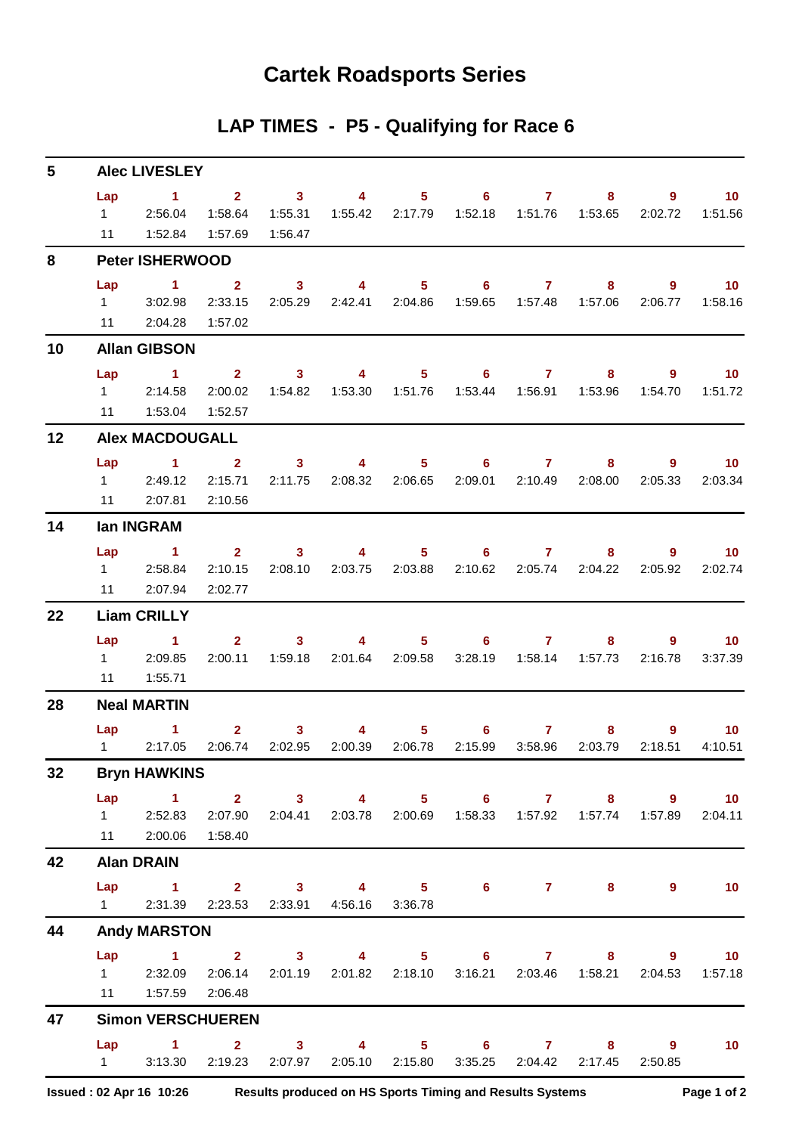## **Cartek Roadsports Series**

## **LAP TIMES - P5 - Qualifying for Race 6**

| 5  |                             | <b>Alec LIVESLEY</b>                          |                                               |                                |                                            |                                                                                                                                                                                                                                                                                                                                    |                             |                                 |              |                                                   |                            |
|----|-----------------------------|-----------------------------------------------|-----------------------------------------------|--------------------------------|--------------------------------------------|------------------------------------------------------------------------------------------------------------------------------------------------------------------------------------------------------------------------------------------------------------------------------------------------------------------------------------|-----------------------------|---------------------------------|--------------|---------------------------------------------------|----------------------------|
|    | Lap<br>$1 \quad \Box$<br>11 | $\sim$ 1<br>2:56.04<br>1:52.84                | $\overline{\mathbf{2}}$<br>1:58.64<br>1:57.69 | $\sim$ 3<br>1:55.31<br>1:56.47 | $\overline{4}$<br>1:55.42                  | 5 <sup>1</sup><br>2:17.79                                                                                                                                                                                                                                                                                                          | $6^{\circ}$<br>1:52.18      | $\mathbf{7}$<br>1:51.76         | 8<br>1:53.65 | 9<br>2:02.72                                      | 10<br>1:51.56              |
| 8  |                             | <b>Peter ISHERWOOD</b>                        |                                               |                                |                                            |                                                                                                                                                                                                                                                                                                                                    |                             |                                 |              |                                                   |                            |
|    | Lap<br>$1 \quad \Box$       | $\mathbf{1}$<br>3:02.98<br>11 2:04.28         | $\overline{2}$<br>2:33.15<br>1:57.02          | $\mathbf{3}$<br>2:05.29        | $\overline{\mathbf{4}}$<br>2:42.41 2:04.86 | 5 <sup>5</sup>                                                                                                                                                                                                                                                                                                                     | 6                           | $\mathbf{7}$                    | 8<br>1:57.06 | 9<br>2:06.77                                      | 10 <sub>1</sub><br>1:58.16 |
| 10 |                             | <b>Allan GIBSON</b>                           |                                               |                                |                                            |                                                                                                                                                                                                                                                                                                                                    |                             |                                 |              |                                                   |                            |
|    | Lap<br>$1 \quad \Box$<br>11 | $\sim$ $\sim$ 1<br>2:14.58<br>1:53.04         | $2^{\circ}$<br>2:00.02<br>1:52.57             | $\sim$ 3<br>1:54.82            | 4<br>1:53.30                               | $5 -$<br>1:51.76                                                                                                                                                                                                                                                                                                                   | $\overline{6}$ 7<br>1:53.44 | 1:56.91                         | 8<br>1:53.96 | 9.<br>1:54.70                                     | 10<br>1:51.72              |
| 12 |                             | <b>Alex MACDOUGALL</b>                        |                                               |                                |                                            |                                                                                                                                                                                                                                                                                                                                    |                             |                                 |              |                                                   |                            |
|    | Lap<br>11                   | $\mathbf{1}$<br>12:49.12<br>2:07.81           | $\overline{2}$<br>2:15.71<br>2:10.56          | 3 <sup>1</sup><br>2:11.75      | 4                                          | 5 <sup>1</sup><br>2:08.32 2:06.65                                                                                                                                                                                                                                                                                                  | 6                           | $\mathbf{7}$<br>2:09.01 2:10.49 | 8<br>2:08.00 | 9<br>2:05.33                                      | 10 <sup>°</sup><br>2:03.34 |
| 14 |                             | lan INGRAM                                    |                                               |                                |                                            |                                                                                                                                                                                                                                                                                                                                    |                             |                                 |              |                                                   |                            |
| 22 | Lap<br>$1 \quad \Box$<br>11 | $\sim$ $\sim$ 1<br>2:58.84<br>2:07.94         | $\mathbf{2}$<br>2:10.15<br>2:02.77            | $3^{\circ}$<br>2:08.10         | 4<br>2:03.75                               | 5<br>2:03.88                                                                                                                                                                                                                                                                                                                       | 6.<br>2:10.62               | $\mathbf{7}$<br>2:05.74         | 8<br>2:04.22 | 9.<br>2:05.92                                     | 10<br>2:02.74              |
|    |                             | <b>Liam CRILLY</b>                            |                                               |                                |                                            |                                                                                                                                                                                                                                                                                                                                    |                             |                                 |              |                                                   |                            |
|    | Lap<br>$1 \quad \Box$<br>11 | 1.<br>2:09.85<br>1:55.71                      | 2 <sup>7</sup><br>2:00.11                     | 3 <sup>1</sup><br>1:59.18      | 4                                          | $5 -$<br>2:01.64 2:09.58                                                                                                                                                                                                                                                                                                           | 6<br>3:28.19                | 7 <sup>7</sup>                  | 8            | 9<br>2:16.78                                      | 10 <sup>°</sup><br>3:37.39 |
| 28 |                             | <b>Neal MARTIN</b>                            |                                               |                                |                                            |                                                                                                                                                                                                                                                                                                                                    |                             |                                 |              |                                                   |                            |
|    | Lap<br>$1 \quad \Box$       | 1.<br>2:17.05                                 | 2 <sup>1</sup><br>2:06.74                     | $\mathbf{3}$<br>2:02.95        | 4<br>2:00.39                               | 5<br>2:06.78                                                                                                                                                                                                                                                                                                                       | 6.<br>2:15.99               | $\mathbf{7}$<br>3:58.96         | 8<br>2:03.79 | 9<br>2:18.51                                      | 10<br>4:10.51              |
| 32 |                             | <b>Bryn HAWKINS</b>                           |                                               |                                |                                            |                                                                                                                                                                                                                                                                                                                                    |                             |                                 |              |                                                   |                            |
|    | Lap                         | $\sim$ $\sim$ 1.<br>1 2:52.83<br>11 2:00.06   | 2:07.90<br>1:58.40                            | 2:04.41                        | $2 \qquad 3 \qquad 4$                      | $5 -$<br>2:03.78 2:00.69                                                                                                                                                                                                                                                                                                           |                             |                                 | $6$ $7$ $8$  | $9^{\circ}$<br>1:57.89                            | 10<br>2:04.11              |
| 42 |                             | <b>Alan DRAIN</b>                             |                                               |                                |                                            |                                                                                                                                                                                                                                                                                                                                    |                             |                                 |              |                                                   |                            |
|    | $1 \quad \Box$              | Lap 1<br>2:31.39                              | 2:23.53                                       |                                | 2:33.91 4:56.16                            | 3:36.78                                                                                                                                                                                                                                                                                                                            | 2 3 4 5 6 7 8               |                                 |              | $9^{\circ}$                                       | 10                         |
| 44 |                             | <b>Andy MARSTON</b>                           |                                               |                                |                                            |                                                                                                                                                                                                                                                                                                                                    |                             |                                 |              |                                                   |                            |
|    | Lap                         | $\sim$ 1<br>1 2:32.09 2:06.14<br>11   1:57.59 | 2:06.48                                       | $2 \qquad \qquad 3$            | 2:01.19 2:01.82 2:18.10                    | $\overline{4}$ and $\overline{4}$ and $\overline{4}$ and $\overline{4}$ and $\overline{4}$ and $\overline{4}$ and $\overline{4}$ and $\overline{4}$ and $\overline{4}$ and $\overline{4}$ and $\overline{4}$ and $\overline{4}$ and $\overline{4}$ and $\overline{4}$ and $\overline{4}$ and $\overline{4}$ and $\overline{4}$ and | $5 \t\t 6 \t\t 7 \t\t 8$    |                                 |              | $9^{\circ}$<br>3:16.21  2:03.46  1:58.21  2:04.53 | 10<br>1:57.18              |
| 47 |                             | <b>Simon VERSCHUEREN</b>                      |                                               |                                |                                            |                                                                                                                                                                                                                                                                                                                                    |                             |                                 |              |                                                   |                            |
|    |                             | $Lap$ 1 2<br>1 3:13.30                        | 2:19.23                                       | 3 <sup>1</sup><br>2:07.97      | $\sim$ 4 and $\sim$                        | 2:05.10 2:15.80                                                                                                                                                                                                                                                                                                                    | 5 6 7 8 9                   | 3:35.25 2:04.42                 | 2:17.45      | 2:50.85                                           | 10 <sub>1</sub>            |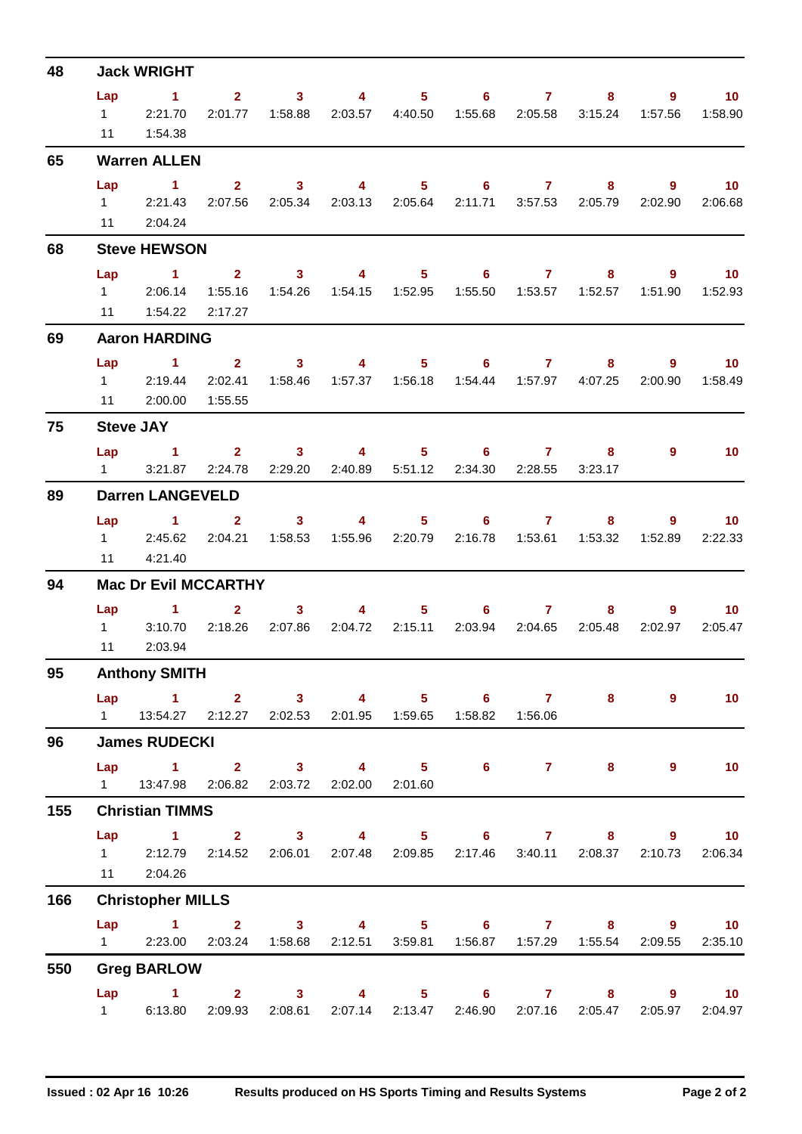| 48  |           | <b>Jack WRIGHT</b>                                                                                                          |         |                                                                                                                                                                                                                                                                                                                                                                                                       |                                                                                                          |                   |              |                                       |                                       |
|-----|-----------|-----------------------------------------------------------------------------------------------------------------------------|---------|-------------------------------------------------------------------------------------------------------------------------------------------------------------------------------------------------------------------------------------------------------------------------------------------------------------------------------------------------------------------------------------------------------|----------------------------------------------------------------------------------------------------------|-------------------|--------------|---------------------------------------|---------------------------------------|
|     | Lap       | $\sim$ 1<br>12:21.70<br>11  1:54.38                                                                                         |         |                                                                                                                                                                                                                                                                                                                                                                                                       | $2 \qquad 3 \qquad 4 \qquad 5 \qquad 6 \qquad 7$<br>2:01.77  1:58.88  2:03.57  4:40.50  1:55.68  2:05.58 |                   | 8<br>3:15.24 | 9<br>1:57.56                          | $\blacksquare$ 10<br>1:58.90          |
| 65  |           | <b>Warren ALLEN</b>                                                                                                         |         |                                                                                                                                                                                                                                                                                                                                                                                                       |                                                                                                          |                   |              |                                       |                                       |
|     |           | $Lap$ 1<br>1 2:21.43<br>11 2:04.24                                                                                          |         |                                                                                                                                                                                                                                                                                                                                                                                                       | 2 3 4 5 6 7 8<br>2:07.56 2:05.34 2:03.13 2:05.64 2:11.71 3:57.53 2:05.79                                 |                   |              | $\overline{\phantom{a}}$ 9<br>2:02.90 | $\overline{10}$<br>2:06.68            |
| 68  |           | <b>Steve HEWSON</b>                                                                                                         |         |                                                                                                                                                                                                                                                                                                                                                                                                       |                                                                                                          |                   |              |                                       |                                       |
|     | Lap<br>11 | 1 2 3 4 5 6 7 8<br>1 2:06.14<br>1:54.22   2:17.27                                                                           | 1:55.16 |                                                                                                                                                                                                                                                                                                                                                                                                       |                                                                                                          |                   |              | 9                                     | $\blacksquare$ 10<br>1:51.90  1:52.93 |
| 69  |           | <b>Aaron HARDING</b>                                                                                                        |         |                                                                                                                                                                                                                                                                                                                                                                                                       |                                                                                                          |                   |              |                                       |                                       |
|     |           | Lap 1 2 3 4 5 6 7 8<br>1 2:19.44<br>11 2:00.00 1:55.55                                                                      |         |                                                                                                                                                                                                                                                                                                                                                                                                       | 2:02.41  1:58.46  1:57.37  1:56.18  1:54.44  1:57.97  4:07.25                                            |                   |              | $9^{\circ}$<br>2:00.90                | $\overline{10}$<br>1:58.49            |
| 75  |           | <b>Steve JAY</b>                                                                                                            |         |                                                                                                                                                                                                                                                                                                                                                                                                       |                                                                                                          |                   |              |                                       |                                       |
|     |           | Lap 1 2 3 4 5 6 7 8<br>1 3:21.87 2:24.78 2:29.20 2:40.89 5:51.12 2:34.30 2:28.55                                            |         |                                                                                                                                                                                                                                                                                                                                                                                                       |                                                                                                          |                   | 3:23.17      | 9                                     | $\overline{10}$                       |
| 89  |           | <b>Darren LANGEVELD</b>                                                                                                     |         |                                                                                                                                                                                                                                                                                                                                                                                                       |                                                                                                          |                   |              |                                       |                                       |
|     | 11        | Lap 1 2 3 4 5 6 7<br>1 2:45.62 2:04.21 1:58.53<br>4:21.40                                                                   |         |                                                                                                                                                                                                                                                                                                                                                                                                       | 1:55.96  2:20.79  2:16.78  1:53.61  1:53.32                                                              |                   |              | $8 - 1$<br>1:52.89                    | $9 \t 10$<br>2:22.33                  |
| 94  |           | <b>Mac Dr Evil MCCARTHY</b>                                                                                                 |         |                                                                                                                                                                                                                                                                                                                                                                                                       |                                                                                                          |                   |              |                                       |                                       |
|     | Lap<br>11 | $\sim$ 1.000 $\sim$ 1.000 $\sim$<br>1 3:10.70 2:18.26 2:07.86 2:04.72 2:15.11 2:03.94 2:04.65 2:05.48<br>2:03.94            |         | $\overline{\mathbf{2}}$ and $\overline{\mathbf{2}}$ and $\overline{\mathbf{2}}$ and $\overline{\mathbf{2}}$ and $\overline{\mathbf{2}}$ and $\overline{\mathbf{2}}$ and $\overline{\mathbf{2}}$ and $\overline{\mathbf{2}}$ and $\overline{\mathbf{2}}$ and $\overline{\mathbf{2}}$ and $\overline{\mathbf{2}}$ and $\overline{\mathbf{2}}$ and $\overline{\mathbf{2}}$ and $\overline{\mathbf{2}}$ a | $3 \qquad \qquad 4 \qquad \qquad$                                                                        | $5 \t\t 6 \t\t 7$ |              |                                       | $9$ and $10$<br>10<br>2:02.97 2:05.47 |
| 95  |           | <b>Anthony SMITH</b>                                                                                                        |         |                                                                                                                                                                                                                                                                                                                                                                                                       |                                                                                                          |                   |              |                                       |                                       |
|     |           | Lap 1 2 3 4 5 6 7<br>1   13:54.27   2:12.27   2:02.53   2:01.95   1:59.65   1:58.82   1:56.06                               |         |                                                                                                                                                                                                                                                                                                                                                                                                       |                                                                                                          |                   |              | $8 - 1$<br>$9^{\circ}$                | 10                                    |
| 96  |           | <b>James RUDECKI</b>                                                                                                        |         |                                                                                                                                                                                                                                                                                                                                                                                                       |                                                                                                          |                   |              |                                       |                                       |
|     |           | Lap 1 2 3 4 5 6 7 8<br>1  13:47.98  2:06.82  2:03.72  2:02.00  2:01.60                                                      |         |                                                                                                                                                                                                                                                                                                                                                                                                       |                                                                                                          |                   |              | $\overline{9}$                        | 10                                    |
| 155 |           | <b>Christian TIMMS</b>                                                                                                      |         |                                                                                                                                                                                                                                                                                                                                                                                                       |                                                                                                          |                   |              |                                       |                                       |
|     |           | Lap 1 2 3 4 5 6 7 8 9 10<br>1 2:12.79 2:14.52 2:06.01 2:07.48 2:09.85 2:17.46 3:40.11 2:08.37 2:10.73 2:06.34<br>11 2:04.26 |         |                                                                                                                                                                                                                                                                                                                                                                                                       |                                                                                                          |                   |              |                                       |                                       |
| 166 |           | <b>Christopher MILLS</b>                                                                                                    |         |                                                                                                                                                                                                                                                                                                                                                                                                       |                                                                                                          |                   |              |                                       |                                       |
|     |           | Lap 1 2 3 4 5 6 7 8 9 10<br>1 2:23.00 2:03.24 1:58.68 2:12.51 3:59.81 1:56.87 1:57.29 1:55.54 2:09.55                       |         |                                                                                                                                                                                                                                                                                                                                                                                                       |                                                                                                          |                   |              |                                       | 2:35.10                               |
| 550 |           | <b>Greg BARLOW</b>                                                                                                          |         |                                                                                                                                                                                                                                                                                                                                                                                                       |                                                                                                          |                   |              |                                       |                                       |
|     |           | Lap 1 2 3 4 5 6 7 8 9 10<br>1 6:13.80                                                                                       | 2:09.93 |                                                                                                                                                                                                                                                                                                                                                                                                       | 2:08.61 2:07.14 2:13.47 2:46.90 2:07.16 2:05.47                                                          |                   |              | 2:05.97                               | 2:04.97                               |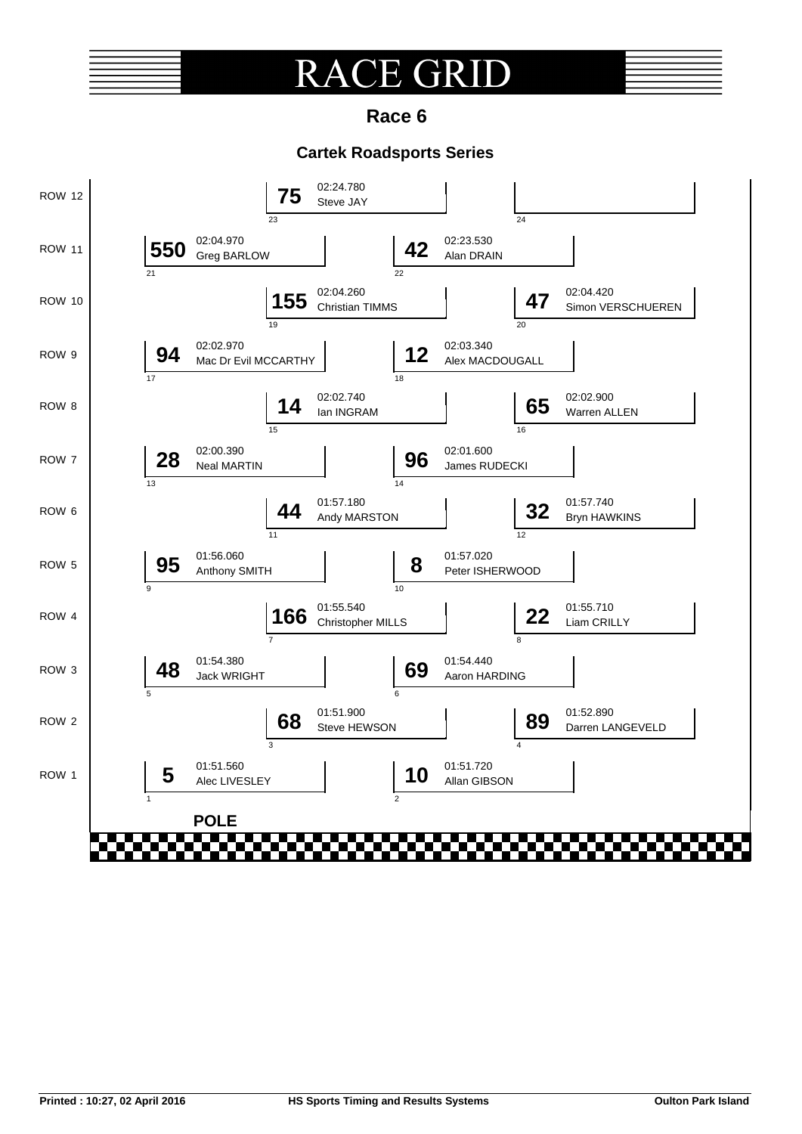## R **E GRI**

**Race 6**

## **Cartek Roadsports Series**

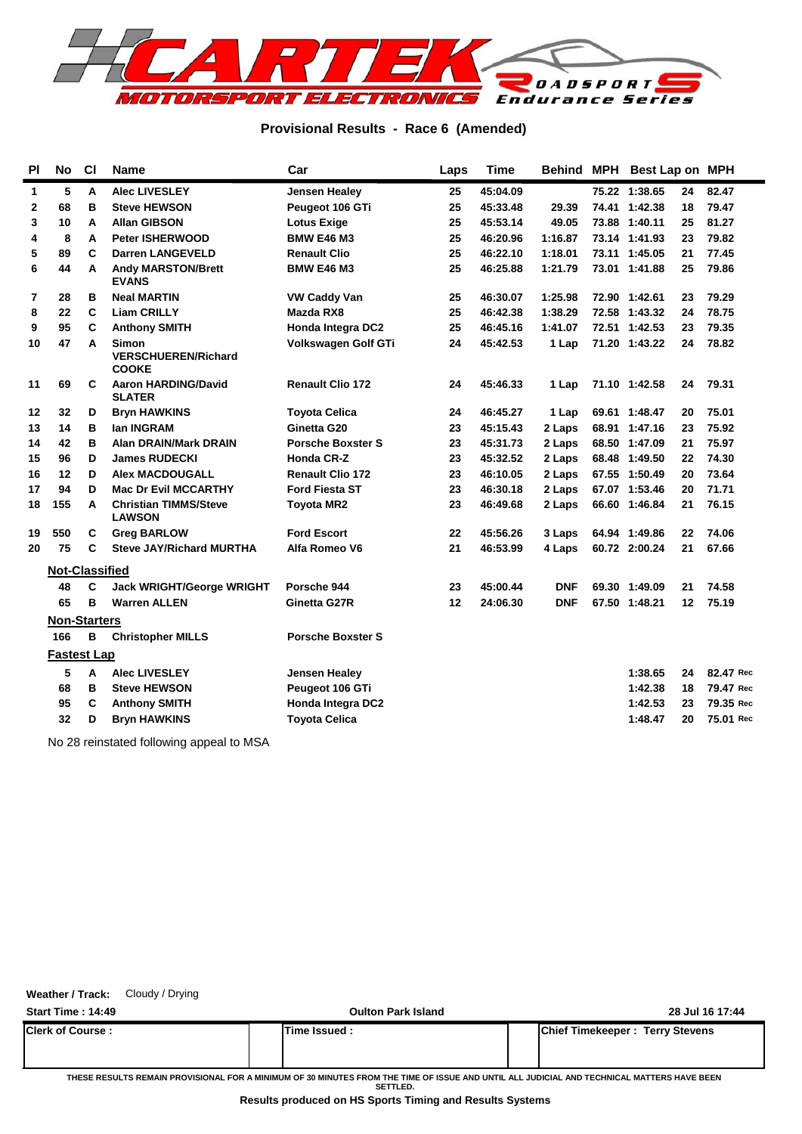

### **Provisional Results - Race 6 (Amended)**

| <b>PI</b> | <b>No</b>             | C1 | <b>Name</b>                                                | Car                      | Laps | <b>Time</b> |            | Behind MPH Best Lap on MPH |    |           |
|-----------|-----------------------|----|------------------------------------------------------------|--------------------------|------|-------------|------------|----------------------------|----|-----------|
| 1         | 5                     | A  | <b>Alec LIVESLEY</b>                                       | <b>Jensen Healey</b>     | 25   | 45:04.09    |            | 75.22 1:38.65              | 24 | 82.47     |
| 2         | 68                    | B  | <b>Steve HEWSON</b>                                        | Peugeot 106 GTi          | 25   | 45:33.48    | 29.39      | 74.41 1:42.38              | 18 | 79.47     |
| 3         | 10                    | A  | <b>Allan GIBSON</b>                                        | <b>Lotus Exige</b>       | 25   | 45:53.14    | 49.05      | 73.88 1:40.11              | 25 | 81.27     |
| 4         | 8                     | A  | <b>Peter ISHERWOOD</b>                                     | <b>BMW E46 M3</b>        | 25   | 46:20.96    | 1:16.87    | 73.14 1:41.93              | 23 | 79.82     |
| 5         | 89                    | C  | <b>Darren LANGEVELD</b>                                    | <b>Renault Clio</b>      | 25   | 46:22.10    | 1:18.01    | 73.11 1:45.05              | 21 | 77.45     |
| 6         | 44                    | A  | <b>Andy MARSTON/Brett</b><br><b>EVANS</b>                  | <b>BMW E46 M3</b>        | 25   | 46:25.88    | 1:21.79    | 73.01 1:41.88              | 25 | 79.86     |
| 7         | 28                    | в  | <b>Neal MARTIN</b>                                         | <b>VW Caddy Van</b>      | 25   | 46:30.07    | 1:25.98    | 72.90 1:42.61              | 23 | 79.29     |
| 8         | 22                    | C  | <b>Liam CRILLY</b>                                         | Mazda RX8                | 25   | 46:42.38    | 1:38.29    | 72.58 1:43.32              | 24 | 78.75     |
| 9         | 95                    | C  | <b>Anthony SMITH</b>                                       | Honda Integra DC2        | 25   | 46:45.16    | 1:41.07    | 72.51 1:42.53              | 23 | 79.35     |
| 10        | 47                    | A  | <b>Simon</b><br><b>VERSCHUEREN/Richard</b><br><b>COOKE</b> | Volkswagen Golf GTi      | 24   | 45:42.53    | 1 Lap      | 71.20 1:43.22              | 24 | 78.82     |
| 11        | 69                    | C  | <b>Aaron HARDING/David</b><br><b>SLATER</b>                | <b>Renault Clio 172</b>  | 24   | 45:46.33    | 1 Lap      | 71.10 1:42.58              | 24 | 79.31     |
| 12        | 32                    | D  | <b>Bryn HAWKINS</b>                                        | <b>Toyota Celica</b>     | 24   | 46:45.27    | 1 Lap      | 69.61 1:48.47              | 20 | 75.01     |
| 13        | 14                    | в  | lan INGRAM                                                 | Ginetta G20              | 23   | 45:15.43    | 2 Laps     | 68.91 1:47.16              | 23 | 75.92     |
| 14        | 42                    | в  | <b>Alan DRAIN/Mark DRAIN</b>                               | <b>Porsche Boxster S</b> | 23   | 45:31.73    | 2 Laps     | 68.50 1:47.09              | 21 | 75.97     |
| 15        | 96                    | D  | <b>James RUDECKI</b>                                       | <b>Honda CR-Z</b>        | 23   | 45:32.52    | 2 Laps     | 68.48 1:49.50              | 22 | 74.30     |
| 16        | 12                    | D  | <b>Alex MACDOUGALL</b>                                     | <b>Renault Clio 172</b>  | 23   | 46:10.05    | 2 Laps     | 67.55 1:50.49              | 20 | 73.64     |
| 17        | 94                    | D  | <b>Mac Dr Evil MCCARTHY</b>                                | <b>Ford Fiesta ST</b>    | 23   | 46:30.18    | 2 Laps     | 67.07 1:53.46              | 20 | 71.71     |
| 18        | 155                   | A  | <b>Christian TIMMS/Steve</b><br><b>LAWSON</b>              | <b>Toyota MR2</b>        | 23   | 46:49.68    | 2 Laps     | 66.60 1:46.84              | 21 | 76.15     |
| 19        | 550                   | C  | <b>Greg BARLOW</b>                                         | <b>Ford Escort</b>       | 22   | 45:56.26    | 3 Laps     | 64.94 1:49.86              | 22 | 74.06     |
| 20        | 75                    | C  | <b>Steve JAY/Richard MURTHA</b>                            | Alfa Romeo V6            | 21   | 46:53.99    | 4 Laps     | 60.72 2:00.24              | 21 | 67.66     |
|           | <b>Not-Classified</b> |    |                                                            |                          |      |             |            |                            |    |           |
|           | 48                    | C  | <b>Jack WRIGHT/George WRIGHT</b>                           | Porsche 944              | 23   | 45:00.44    | <b>DNF</b> | 69.30 1:49.09              | 21 | 74.58     |
|           | 65                    | в  | <b>Warren ALLEN</b>                                        | Ginetta G27R             | 12   | 24:06.30    | <b>DNF</b> | 67.50 1:48.21              | 12 | 75.19     |
|           | <b>Non-Starters</b>   |    |                                                            |                          |      |             |            |                            |    |           |
|           | 166                   | в  | <b>Christopher MILLS</b>                                   | <b>Porsche Boxster S</b> |      |             |            |                            |    |           |
|           | <b>Fastest Lap</b>    |    |                                                            |                          |      |             |            |                            |    |           |
|           | 5                     | A  | <b>Alec LIVESLEY</b>                                       | Jensen Healey            |      |             |            | 1:38.65                    | 24 | 82.47 Rec |
|           | 68                    | в  | <b>Steve HEWSON</b>                                        | Peugeot 106 GTi          |      |             |            | 1:42.38                    | 18 | 79.47 Rec |
|           | 95                    | C  | <b>Anthony SMITH</b>                                       | <b>Honda Integra DC2</b> |      |             |            | 1:42.53                    | 23 | 79.35 Rec |
|           | 32                    | D  | <b>Bryn HAWKINS</b>                                        | <b>Toyota Celica</b>     |      |             |            | 1:48.47                    | 20 | 75.01 Rec |
|           |                       |    |                                                            |                          |      |             |            |                            |    |           |

No 28 reinstated following appeal to MSA

### **Weather / Track:** Cloudy / Drying

| <b>Start Time: 14:49</b> | <b>Oulton Park Island</b> | 28 Jul 16 17:44                 |
|--------------------------|---------------------------|---------------------------------|
| <b>Clerk of Course:</b>  | Time Issued :             | Chief Timekeeper: Terry Stevens |

**THESE RESULTS REMAIN PROVISIONAL FOR A MINIMUM OF 30 MINUTES FROM THE TIME OF ISSUE AND UNTIL ALL JUDICIAL AND TECHNICAL MATTERS HAVE BEEN SETTLED.**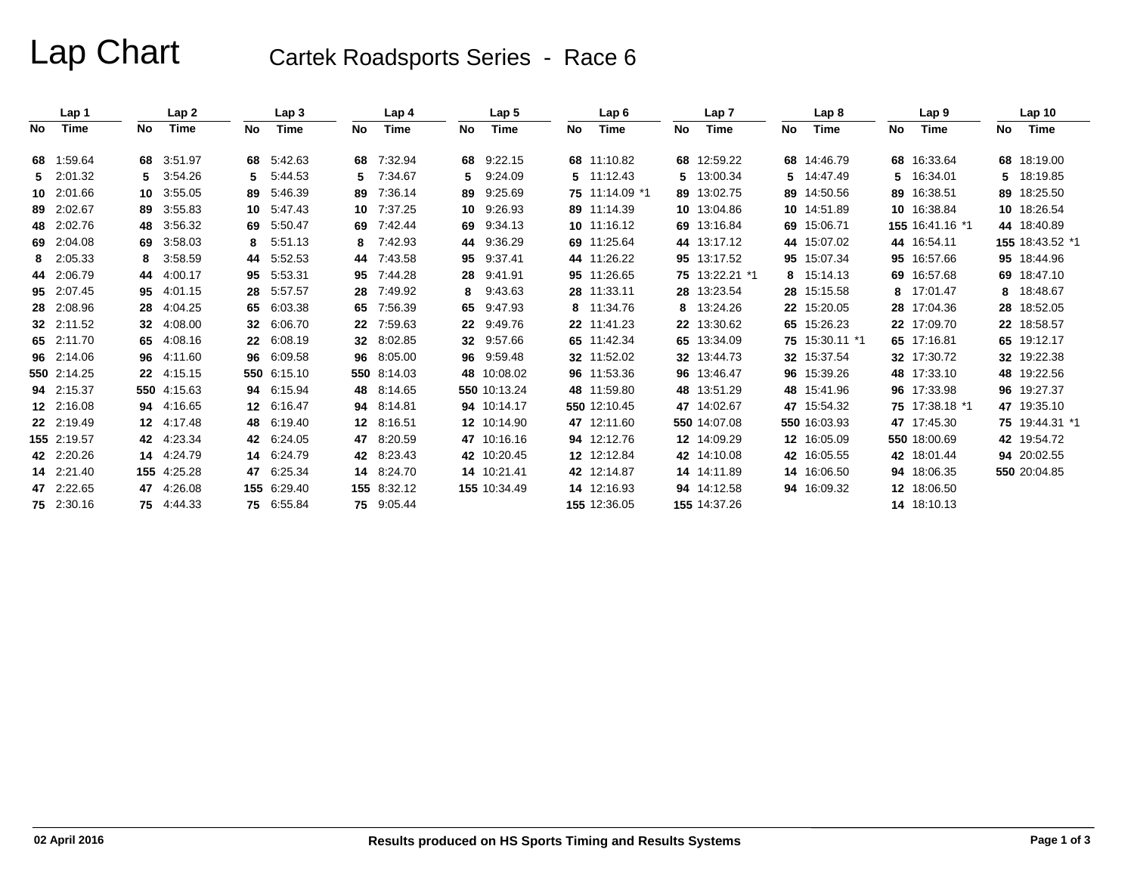# Lap Chart Cartek Roadsports Series - Race 6

|     | Lap 1       |                 | Lap <sub>2</sub> |    | Lap <sub>3</sub> |    | Lap <sub>4</sub> |     | Lap <sub>5</sub> |     | Lap6           |    | Lap 7          |    | Lap <sub>8</sub> |    | Lap <sub>9</sub> |     | Lap <sub>10</sub> |
|-----|-------------|-----------------|------------------|----|------------------|----|------------------|-----|------------------|-----|----------------|----|----------------|----|------------------|----|------------------|-----|-------------------|
| No. | Time        | No              | <b>Time</b>      | No | Time             | No | <b>Time</b>      | No. | <b>Time</b>      | No. | <b>Time</b>    | No | Time           | No | <b>Time</b>      | No | <b>Time</b>      | No. | Time              |
| 68  | 1.59.64     |                 | 68 3:51.97       |    | 68 5:42.63       | 68 | 7:32.94          |     | 68 9:22.15       |     | 68 11:10.82    |    | 68 12:59.22    |    | 68 14:46.79      |    | 68 16:33.64      |     | 68 18:19.00       |
|     | 5 2:01.32   |                 | 3:54.26          | 5. | 5:44.53          | 5  | 7:34.67          | 5.  | 9:24.09          |     | 5 11:12.43     |    | 5 13:00.34     |    | 5 14:47.49       | 5  | 16:34.01         |     | 5 18:19.85        |
|     | 10 2:01.66  | 10              | 3:55.05          | 89 | 5.46.39          | 89 | 7:36.14          | 89  | 9.25.69          |     | 75 11:14.09 *1 |    | 89 13:02.75    |    | 89 14:50.56      | 89 | 16:38.51         |     | 89 18:25.50       |
|     | 89 2:02.67  | 89              | 3:55.83          | 10 | 5:47.43          | 10 | 7:37.25          | 10  | 9:26.93          |     | 89 11:14.39    |    | 10 13:04.86    |    | 10 14:51.89      |    | 10 16:38.84      |     | 10 18:26.54       |
|     | 48 2:02.76  |                 | 48 3:56.32       | 69 | 5:50.47          | 69 | 7:42.44          | 69  | 9:34.13          |     | 10 11:16.12    |    | 69 13:16.84    |    | 69 15:06.71      |    | 155 16:41.16 *1  |     | 44 18:40.89       |
|     | 69 2:04.08  |                 | 69 3:58.03       | 8  | 5:51.13          | 8  | 7:42.93          | 44  | 9:36.29          |     | 69 11:25.64    |    | 44 13:17.12    |    | 44 15:07.02      |    | 44 16:54.11      |     | 155 18:43.52 *1   |
|     | 8 2:05.33   | 8               | 3:58.59          | 44 | 5:52.53          | 44 | 7:43.58          | 95  | 9:37.41          |     | 44 11:26.22    |    | 95 13:17.52    |    | 95 15:07.34      | 95 | 16:57.66         |     | 95 18:44.96       |
|     | 44 2:06.79  |                 | 44 4:00.17       | 95 | 5:53.31          | 95 | 7:44.28          | 28  | 9:41.91          |     | 95 11:26.65    |    | 75 13:22.21 *1 |    | 8 15:14.13       |    | 69 16:57.68      |     | 69 18:47.10       |
|     | 95 2:07.45  | 95              | 4:01.15          | 28 | 5:57.57          | 28 | 7:49.92          | 8   | 9:43.63          |     | 28 11:33.11    |    | 28 13:23.54    |    | 28 15:15.58      | 8  | 17:01.47         | 8   | 18:48.67          |
|     | 28 2:08.96  |                 | 28 4:04.25       | 65 | 6:03.38          | 65 | 7:56.39          | 65  | 9:47.93          |     | 8 11:34.76     |    | 8 13:24.26     |    | 22 15:20.05      | 28 | 17:04.36         |     | 28 18:52.05       |
|     | 32 2:11.52  | 32 <sub>2</sub> | 4:08.00          | 32 | 6:06.70          | 22 | 7:59.63          | 22  | 9:49.76          |     | 22 11:41.23    |    | 22 13:30.62    |    | 65 15:26.23      | 22 | 17:09.70         |     | 22 18:58.57       |
|     | 65 2:11.70  |                 | 65 4:08.16       |    | 22 6:08.19       | 32 | 8:02.85          |     | 32 9:57.66       |     | 65 11:42.34    |    | 65 13:34.09    |    | 75 15:30.11 *1   |    | 65 17:16.81      |     | 65 19:12.17       |
|     | 96 2:14.06  |                 | 96 4:11.60       | 96 | 6:09.58          | 96 | 8:05.00          | 96  | 9:59.48          |     | 32 11:52.02    |    | 32 13:44.73    |    | 32 15:37.54      |    | 32 17:30.72      |     | 32 19:22.38       |
|     | 550 2:14.25 |                 | 22 4:15.15       |    | 550 6.15.10      |    | 550 8:14.03      |     | 48 10:08.02      |     | 96 11:53.36    |    | 96 13:46.47    |    | 96 15:39.26      |    | 48 17:33.10      |     | 48 19:22.56       |
|     | 94 2:15.37  |                 | 550 4:15.63      | 94 | 6.15.94          | 48 | 8:14.65          |     | 550 10:13.24     |     | 48 11:59.80    |    | 48 13:51.29    |    | 48 15:41.96      |    | 96 17:33.98      |     | 96 19:27.37       |
|     | 12 2:16.08  |                 | 94 4:16.65       |    | 12 6:16.47       | 94 | 8:14.81          |     | 94 10:14.17      |     | 550 12:10.45   |    | 47 14:02.67    |    | 47 15:54.32      |    | 75 17:38.18 *1   |     | 47 19:35.10       |
|     | 22 2:19.49  |                 | 12 4:17.48       |    | 48 6:19.40       | 12 | 8:16.51          |     | 12 10:14.90      |     | 47 12:11.60    |    | 550 14:07.08   |    | 550 16:03.93     |    | 47 17:45.30      |     | 75 19:44.31 *1    |
|     | 155 2:19.57 |                 | 42 4:23.34       |    | 42 6:24.05       | 47 | 8:20.59          |     | 47 10:16.16      |     | 94 12:12.76    |    | 12 14:09.29    |    | 12 16:05.09      |    | 550 18:00.69     |     | 42 19:54.72       |
|     | 42 2:20.26  |                 | 14 4:24.79       |    | 14 6:24.79       | 42 | 8:23.43          |     | 42 10:20.45      |     | 12 12:12.84    |    | 42 14:10.08    |    | 42 16:05.55      |    | 42 18:01.44      |     | 94 20:02.55       |
|     | 14 2:21.40  |                 | 155 4:25.28      |    | 47 6:25.34       | 14 | 8:24.70          |     | 14 10:21.41      |     | 42 12:14.87    |    | 14 14:11.89    |    | 14 16:06.50      |    | 94 18:06.35      |     | 550 20:04.85      |
|     | 47 2:22.65  |                 | 47 4:26.08       |    | 155 6:29.40      |    | 155 8:32.12      |     | 155 10:34.49     |     | 14 12:16.93    |    | 94 14:12.58    |    | 94 16:09.32      |    | 12 18:06.50      |     |                   |
|     | 75 2:30.16  |                 | 75 4:44.33       |    | 75 6:55.84       | 75 | 9:05.44          |     |                  |     | 155 12:36.05   |    | 155 14:37.26   |    |                  |    | 14 18:10.13      |     |                   |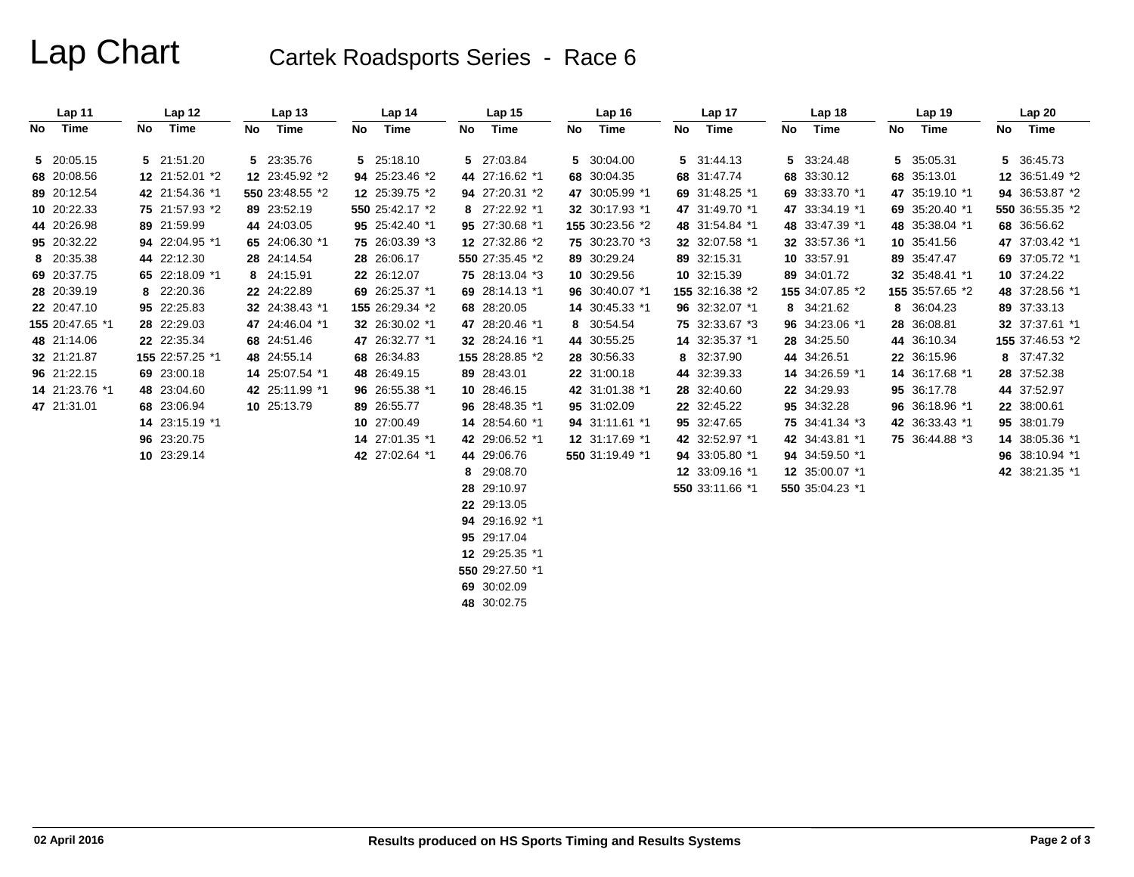# Lap Chart Cartek Roadsports Series - Race 6

|    | Lap 11          |    | Lap 12          |    | Lap <sub>13</sub> |    | Lap 14          |    | Lap <sub>15</sub> |    | Lap <sub>16</sub> |    | Lap 17          |    | Lap <sub>18</sub> |    | Lap 19          |    | Lap20           |
|----|-----------------|----|-----------------|----|-------------------|----|-----------------|----|-------------------|----|-------------------|----|-----------------|----|-------------------|----|-----------------|----|-----------------|
| No | Time            | No | Time            | No | Time              | No | Time            | No | Time              | No | Time              | No | Time            | No | Time              | No | Time            | No | Time            |
|    | 5 20:05.15      |    | 5 21:51.20      |    | 5 23:35.76        |    | 5 25:18.10      |    | 5 27:03.84        |    | 5 30:04.00        |    | 5 31:44.13      |    | 5 33:24.48        | 5  | 35:05.31        |    | 5 36:45.73      |
|    | 68 20:08.56     |    | 12 21:52.01 *2  |    | 12 23:45.92 *2    |    | 94 25:23.46 *2  |    | 44 27:16.62 *1    |    | 68 30:04.35       |    | 68 31:47.74     |    | 68 33:30.12       | 68 | 35:13.01        |    | 12 36:51.49 *2  |
|    | 89 20:12.54     |    | 42 21:54.36 *1  |    | 550 23:48.55 *2   |    | 12 25:39.75 *2  |    | 94 27:20.31 *2    |    | 47 30:05.99 *1    |    | 69 31:48.25 *1  |    | 69 33:33.70 *1    |    | 47 35:19.10 *1  |    | 94 36:53.87 *2  |
|    | 10 20:22.33     |    | 75 21:57.93 *2  |    | 89 23:52.19       |    | 550 25:42.17 *2 |    | 8 27:22.92 *1     |    | 32 30:17.93 *1    |    | 47 31:49.70 *1  |    | 47 33:34.19 *1    |    | 69 35:20.40 *1  |    | 550 36:55.35 *2 |
|    | 44 20:26.98     |    | 89 21:59.99     |    | 44 24:03.05       |    | 95 25:42.40 *1  |    | 95 27:30.68 *1    |    | 155 30:23.56 *2   |    | 48 31:54.84 *1  |    | 48 33:47.39 *1    |    | 48 35:38.04 *1  |    | 68 36:56.62     |
|    | 95 20:32.22     |    | 94 22:04.95 *1  |    | 65 24:06.30 *1    |    | 75 26:03.39 *3  |    | 12 27:32.86 *2    |    | 75 30:23.70 *3    |    | 32 32:07.58 *1  |    | 32 33:57.36 *1    |    | 10 35:41.56     |    | 47 37:03.42 *1  |
|    | 8 20:35.38      |    | 44 22:12.30     |    | 28 24:14.54       |    | 28 26:06.17     |    | 550 27:35.45 *2   |    | 89 30:29.24       |    | 89 32:15.31     |    | 10 33:57.91       |    | 89 35:47.47     |    | 69 37:05.72 *1  |
|    | 69 20:37.75     |    | 65 22:18.09 *1  |    | 8 24:15.91        |    | 22 26:12.07     |    | 75 28:13.04 *3    |    | 10 30:29.56       |    | 10 32:15.39     |    | 89 34:01.72       |    | 32 35:48.41 *1  |    | 10 37:24.22     |
|    | 28 20:39.19     |    | 8 22:20.36      |    | 22 24:22.89       |    | 69 26:25.37 *1  |    | 69 28:14.13 *1    |    | 96 30:40.07 *1    |    | 155 32:16.38 *2 |    | 155 34:07.85 *2   |    | 155 35:57.65 *2 |    | 48 37:28.56 *1  |
|    | 22 20:47.10     |    | 95 22:25.83     |    | 32 24:38.43 *1    |    | 155 26:29.34 *2 |    | 68 28:20.05       |    | 14 30:45.33 *1    |    | 96 32:32.07 *1  |    | 8 34:21.62        | 8  | 36:04.23        |    | 89 37:33.13     |
|    | 155 20:47.65 *1 |    | 28 22:29.03     |    | 47 24:46.04 *1    |    | 32 26:30.02 *1  |    | 47 28:20.46 *1    |    | 8 30:54.54        |    | 75 32:33.67 *3  |    | 96 34:23.06 *1    |    | 28 36:08.81     |    | 32 37:37.61 *1  |
|    | 48 21:14.06     |    | 22 22:35.34     |    | 68 24:51.46       |    | 47 26:32.77 *1  |    | 32 28:24.16 *1    |    | 44 30:55.25       |    | 14 32:35.37 *1  |    | 28 34:25.50       |    | 44 36:10.34     |    | 155 37:46.53 *2 |
|    | 32 21:21.87     |    | 155 22:57.25 *1 |    | 48 24:55.14       |    | 68 26:34.83     |    | 155 28:28.85 *2   |    | 28 30:56.33       |    | 8 32:37.90      |    | 44 34:26.51       |    | 22 36:15.96     |    | 8 37:47.32      |
|    | 96 21:22.15     |    | 69 23:00.18     |    | 14 25:07.54 *1    |    | 48 26:49.15     |    | 89 28:43.01       |    | 22 31:00.18       |    | 44 32:39.33     |    | 14 34:26.59 *1    |    | 14 36:17.68 *1  |    | 28 37:52.38     |
|    | 14 21:23.76 *1  |    | 48 23:04.60     |    | 42 25:11.99 *1    |    | 96 26:55.38 *1  |    | 10 28:46.15       |    | 42 31:01.38 *1    |    | 28 32:40.60     |    | 22 34:29.93       |    | 95 36:17.78     |    | 44 37:52.97     |
|    | 47 21:31.01     |    | 68 23:06.94     |    | 10 25:13.79       |    | 89 26:55.77     |    | 96 28:48.35 *1    |    | 95 31:02.09       |    | 22 32:45.22     |    | 95 34:32.28       |    | 96 36:18.96 *1  |    | 22 38:00.61     |
|    |                 |    | 14 23:15.19 *1  |    |                   |    | 10 27:00.49     |    | 14 28:54.60 *1    |    | 94 31:11.61 *1    |    | 95 32:47.65     |    | 75 34:41.34 *3    |    | 42 36:33.43 *1  |    | 95 38:01.79     |
|    |                 |    | 96 23:20.75     |    |                   |    | 14 27:01.35 *1  |    | 42 29:06.52 *1    |    | 12 31:17.69 *1    |    | 42 32:52.97 *1  |    | 42 34:43.81 *1    |    | 75 36:44.88 *3  |    | 14 38:05.36 *1  |
|    |                 |    | 10 23:29.14     |    |                   |    | 42 27:02.64 *1  |    | 44 29:06.76       |    | 550 31:19.49 *1   |    | 94 33:05.80 *1  |    | 94 34:59.50 *1    |    |                 |    | 96 38:10.94 *1  |
|    |                 |    |                 |    |                   |    |                 | 8  | 29:08.70          |    |                   |    | 12 33:09.16 *1  |    | 12 35:00.07 *1    |    |                 |    | 42 38:21.35 *1  |
|    |                 |    |                 |    |                   |    |                 |    | 28 29:10.97       |    |                   |    | 550 33:11.66 *1 |    | 550 35:04.23 *1   |    |                 |    |                 |
|    |                 |    |                 |    |                   |    |                 |    | 22 29:13.05       |    |                   |    |                 |    |                   |    |                 |    |                 |
|    |                 |    |                 |    |                   |    |                 |    | 94 29:16.92 *1    |    |                   |    |                 |    |                   |    |                 |    |                 |
|    |                 |    |                 |    |                   |    |                 |    | 95 29:17.04       |    |                   |    |                 |    |                   |    |                 |    |                 |
|    |                 |    |                 |    |                   |    |                 |    | 12 29:25.35 *1    |    |                   |    |                 |    |                   |    |                 |    |                 |
|    |                 |    |                 |    |                   |    |                 |    | 550 29:27.50 *1   |    |                   |    |                 |    |                   |    |                 |    |                 |

**69** 30:02.09 **48** 30:02.75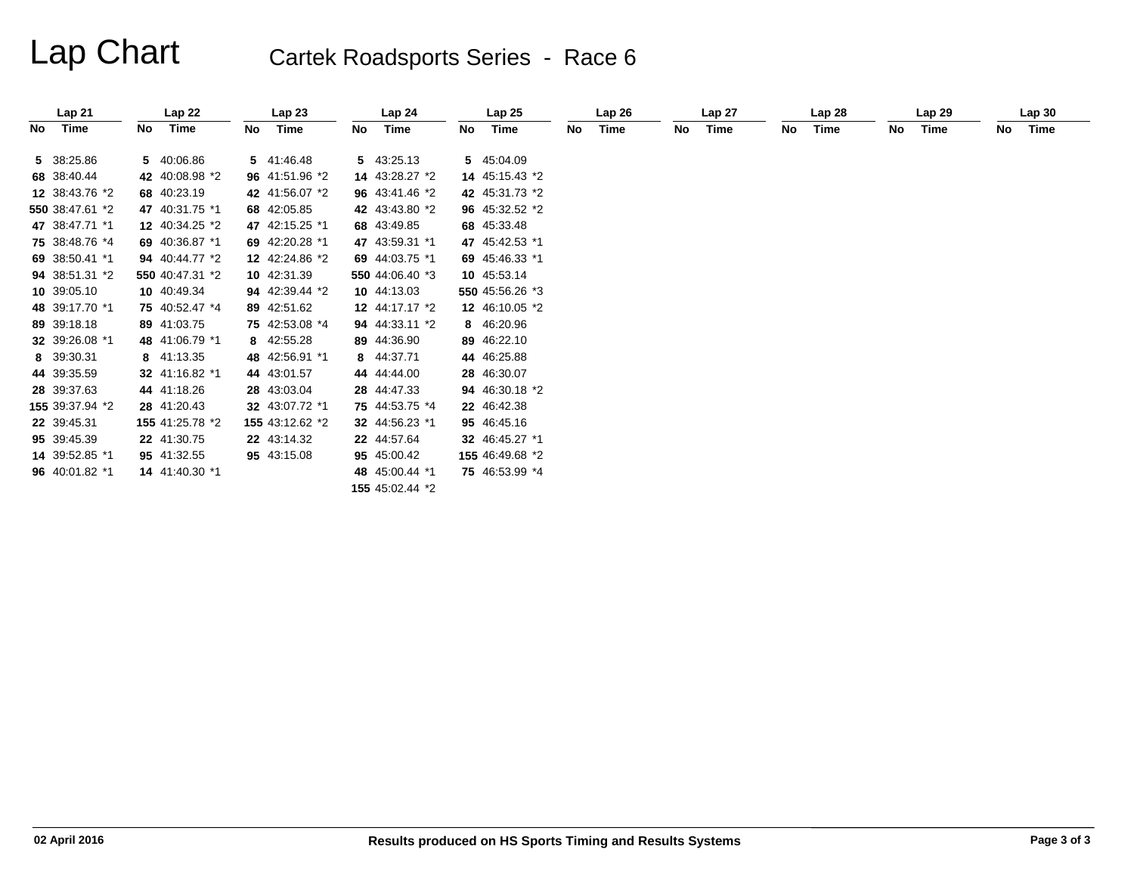# Lap Chart Cartek Roadsports Series - Race 6

|                 |     | Lap 22          |    | Lap23           |    | Lap <sub>24</sub> |    | Lap25           |    | Lap26 |    | Lap 27 |    | Lap <sub>28</sub> |    | Lap 29 |    | Lap30 |
|-----------------|-----|-----------------|----|-----------------|----|-------------------|----|-----------------|----|-------|----|--------|----|-------------------|----|--------|----|-------|
| Time<br>No      | No. | Time            | No | Time            | No | Time              | No | Time            | No | Time  | No | Time   | No | Time              | No | Time   | No | Time  |
| 5 38:25.86      |     | 5 40:06.86      |    | 5 41:46.48      |    | 5 43:25.13        |    | 5 45:04.09      |    |       |    |        |    |                   |    |        |    |       |
| 68 38:40.44     |     | 42 40:08.98 *2  |    | 96 41:51.96 *2  |    | 14 43:28.27 *2    |    | 14 45:15.43 *2  |    |       |    |        |    |                   |    |        |    |       |
| 12 38:43.76 *2  |     | 68 40:23.19     |    | 42 41:56.07 *2  |    | 96 43:41.46 *2    |    | 42 45:31.73 *2  |    |       |    |        |    |                   |    |        |    |       |
| 550 38:47.61 *2 |     | 47 40:31.75 *1  |    | 68 42:05.85     |    | 42 43:43.80 *2    |    | 96 45:32.52 *2  |    |       |    |        |    |                   |    |        |    |       |
| 47 38:47.71 *1  |     | 12 40:34.25 *2  |    | 47 42:15.25 *1  |    | 68 43:49.85       |    | 68 45:33.48     |    |       |    |        |    |                   |    |        |    |       |
| 75 38:48.76 *4  |     | 69 40:36.87 *1  |    | 69 42:20.28 *1  |    | 47 43:59.31 *1    |    | 47 45:42.53 *1  |    |       |    |        |    |                   |    |        |    |       |
| 69 38:50.41 *1  |     | 94 40:44.77 *2  |    | 12 42:24.86 *2  |    | 69 44:03.75 *1    |    | 69 45:46.33 *1  |    |       |    |        |    |                   |    |        |    |       |
| 94 38:51.31 *2  |     | 550 40:47.31 *2 |    | 10 42:31.39     |    | 550 44:06.40 *3   |    | 10 45:53.14     |    |       |    |        |    |                   |    |        |    |       |
| 10 39:05.10     |     | 10 40:49.34     |    | 94 42:39.44 *2  |    | 10 44:13.03       |    | 550 45:56.26 *3 |    |       |    |        |    |                   |    |        |    |       |
| 48 39:17.70 *1  |     | 75 40:52.47 *4  |    | 89 42:51.62     |    | 12 44:17.17 *2    |    | 12 46:10.05 *2  |    |       |    |        |    |                   |    |        |    |       |
| 89 39:18.18     |     | 89 41:03.75     |    | 75 42:53.08 *4  |    | 94 44:33.11 *2    |    | 8 46:20.96      |    |       |    |        |    |                   |    |        |    |       |
| 32 39:26.08 *1  |     | 48 41:06.79 *1  |    | 8 42:55.28      |    | 89 44:36.90       |    | 89 46:22.10     |    |       |    |        |    |                   |    |        |    |       |
| 8 39:30.31      |     | 8 41:13.35      |    | 48 42:56.91 *1  |    | 8 44:37.71        |    | 44 46:25.88     |    |       |    |        |    |                   |    |        |    |       |
| 44 39:35.59     |     | 32 41:16.82 *1  |    | 44 43:01.57     |    | 44 44:44.00       |    | 28 46:30.07     |    |       |    |        |    |                   |    |        |    |       |
| 28 39:37.63     |     | 44 41:18.26     |    | 28 43:03.04     |    | 28 44:47.33       |    | 94 46:30.18 *2  |    |       |    |        |    |                   |    |        |    |       |
| 155 39:37.94 *2 |     | 28 41:20.43     |    | 32 43:07.72 *1  |    | 75 44:53.75 *4    |    | 22 46:42.38     |    |       |    |        |    |                   |    |        |    |       |
| 22 39:45.31     |     | 155 41:25.78 *2 |    | 155 43:12.62 *2 |    | 32 44:56.23 *1    |    | 95 46:45.16     |    |       |    |        |    |                   |    |        |    |       |
| 95 39:45.39     |     | 22 41:30.75     |    | 22 43:14.32     |    | 22 44:57.64       |    | 32 46:45.27 *1  |    |       |    |        |    |                   |    |        |    |       |
| 14 39:52.85 *1  |     | 95 41:32.55     |    | 95 43:15.08     |    | 95 45:00.42       |    | 155 46:49.68 *2 |    |       |    |        |    |                   |    |        |    |       |
| 96 40:01.82 *1  |     | 14 41:40.30 *1  |    |                 |    | 48 45:00.44 *1    |    | 75 46:53.99 *4  |    |       |    |        |    |                   |    |        |    |       |
|                 |     |                 |    |                 |    | 155 45:02.44 *2   |    |                 |    |       |    |        |    |                   |    |        |    |       |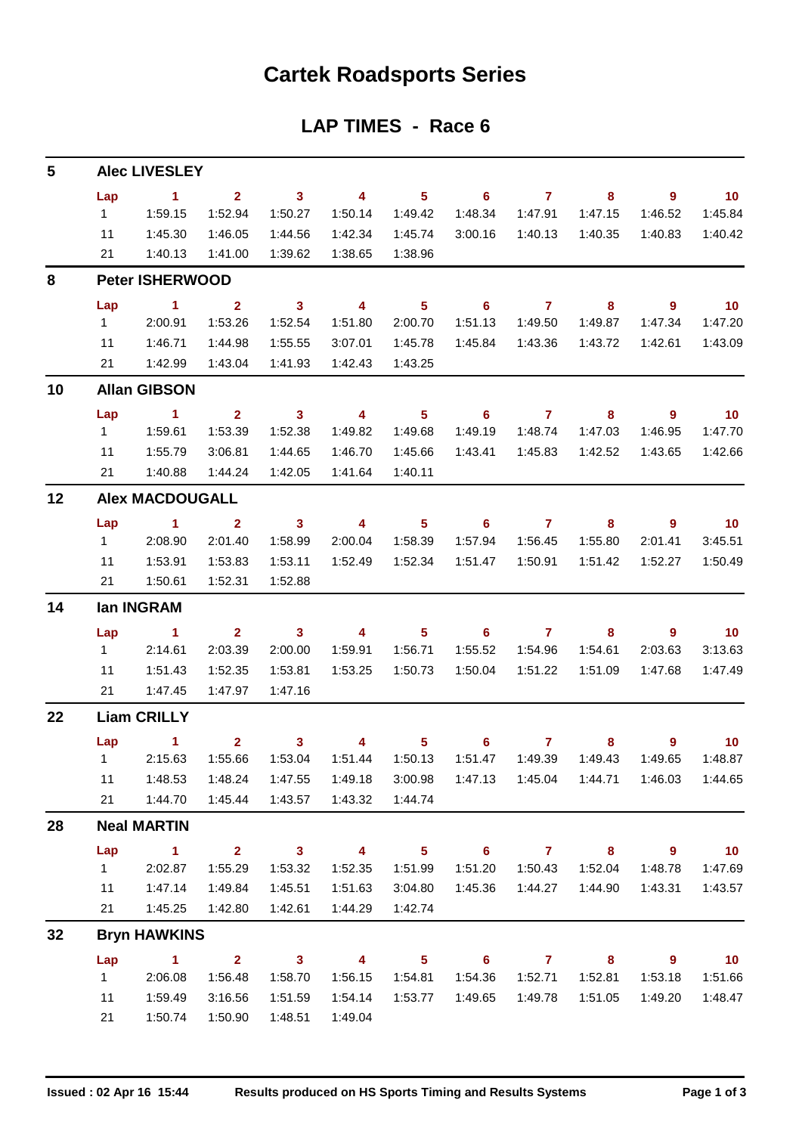## **Cartek Roadsports Series**

## **LAP TIMES - Race 6**

| 5  |                | <b>Alec LIVESLEY</b>   |                         |                         |                         |                            |                            |                |                            |                            |                             |
|----|----------------|------------------------|-------------------------|-------------------------|-------------------------|----------------------------|----------------------------|----------------|----------------------------|----------------------------|-----------------------------|
|    | Lap            | $\sim$ 1               | 2 <sup>7</sup>          | $\overline{\mathbf{3}}$ | $\overline{4}$          | $\overline{\phantom{1}}$ 5 | $\overline{\phantom{0}}$ 6 | $\overline{7}$ | 8                          | $9^{\circ}$                | $\overline{10}$             |
|    | $1 \quad$      | 1:59.15                | 1:52.94                 | 1:50.27                 | 1:50.14                 | 1:49.42                    | 1:48.34                    | 1:47.91        | 1:47.15                    | 1:46.52                    | 1:45.84                     |
|    | 11             | 1:45.30                | 1:46.05                 | 1:44.56                 | 1:42.34                 | 1:45.74                    | 3:00.16                    | 1:40.13        | 1:40.35                    | 1:40.83                    | 1:40.42                     |
|    |                | 21  1:40.13            | 1:41.00                 | 1:39.62                 | 1:38.65                 | 1:38.96                    |                            |                |                            |                            |                             |
| 8  |                | <b>Peter ISHERWOOD</b> |                         |                         |                         |                            |                            |                |                            |                            |                             |
|    | Lap            | $\sim$ 1 $\sim$ 2      |                         |                         | $3 \t 4$                | $\overline{\phantom{1}}$ 5 |                            | $6$ $7$ $8$    |                            | - 9                        | $\blacksquare$ 10           |
|    | $1 \quad \Box$ | 2:00.91                | 1:53.26                 | 1:52.54                 | 1:51.80                 | 2:00.70                    | 1:51.13                    | 1:49.50        | 1:49.87                    | 1:47.34                    | 1:47.20                     |
|    | 11             | 1:46.71                | 1:44.98                 | 1:55.55                 | 3:07.01                 | 1:45.78                    | 1:45.84                    | 1:43.36        | 1:43.72                    | 1:42.61                    | 1:43.09                     |
|    | 21             | 1:42.99                | 1:43.04                 | 1:41.93                 | 1:42.43                 | 1:43.25                    |                            |                |                            |                            |                             |
| 10 |                | <b>Allan GIBSON</b>    |                         |                         |                         |                            |                            |                |                            |                            |                             |
|    | Lap            | $\sim$ 1               | $2^{\circ}$             | $\overline{\mathbf{3}}$ | $\overline{4}$          | 5 <sub>1</sub>             | $\overline{\phantom{0}}$ 6 | $\overline{7}$ | 8                          | $\overline{9}$             | $\overline{\phantom{0}}$ 10 |
|    | $1 \quad$      | 1:59.61                | 1:53.39                 | 1:52.38                 | 1:49.82                 | 1:49.68                    | 1:49.19                    | 1:48.74        | 1:47.03                    | 1:46.95                    | 1:47.70                     |
|    | 11             | 1:55.79                | 3:06.81                 | 1:44.65                 | 1:46.70                 | 1:45.66                    | 1:43.41                    | 1:45.83        | 1:42.52                    | 1:43.65                    | 1:42.66                     |
|    | 21             | 1:40.88                | 1:44.24                 | 1:42.05                 | 1:41.64                 | 1:40.11                    |                            |                |                            |                            |                             |
| 12 |                | <b>Alex MACDOUGALL</b> |                         |                         |                         |                            |                            |                |                            |                            |                             |
|    | Lap            | $\sim$ $\sim$ 1        | $\overline{\mathbf{2}}$ | $\overline{\mathbf{3}}$ | $\overline{4}$          | 5 <sub>1</sub>             | $\overline{\phantom{a}}$ 6 | $\overline{7}$ | $\overline{\mathbf{8}}$    | $\overline{9}$             | $\overline{10}$             |
|    | $1 \quad$      | 2:08.90                | 2:01.40                 | 1:58.99                 | 2:00.04                 | 1:58.39                    | 1:57.94                    | 1:56.45        | 1:55.80                    | 2:01.41                    | 3:45.51                     |
|    | 11             | 1:53.91                | 1:53.83                 | 1:53.11                 |                         |                            | 1:51.47                    | 1:50.91        | 1:51.42                    | 1:52.27                    | 1:50.49                     |
|    | 21             | 1:50.61                | 1:52.31                 | 1:52.88                 |                         |                            |                            |                |                            |                            |                             |
| 14 |                | lan INGRAM             |                         |                         |                         |                            |                            |                |                            |                            |                             |
|    | Lap            | $\sim$ 1               | $2^{\circ}$             | $\overline{\mathbf{3}}$ | $\overline{\mathbf{4}}$ | $5 -$                      |                            | $6\qquad 7$    | 8                          | $\overline{9}$             | $\overline{\phantom{0}}$ 10 |
|    | $1 -$          | 2:14.61                | 2:03.39                 | 2:00.00                 | 1:59.91                 | 1:56.71                    | 1:55.52                    | 1:54.96        | 1:54.61                    | 2:03.63                    | 3:13.63                     |
|    | 11             | 1:51.43                | 1:52.35                 | 1:53.81                 | 1:53.25                 | 1:50.73                    | 1:50.04                    | 1:51.22        | 1:51.09                    | 1:47.68                    | 1:47.49                     |
|    |                | 21  1:47.45            | 1:47.97                 | 1:47.16                 |                         |                            |                            |                |                            |                            |                             |
| 22 |                | <b>Liam CRILLY</b>     |                         |                         |                         |                            |                            |                |                            |                            |                             |
|    |                | $Lap$ 1                |                         |                         |                         |                            |                            |                | 2 3 4 5 6 7 8 9 10         |                            |                             |
|    |                | 1 2:15.63              | 1:55.66                 | 1:53.04                 |                         |                            | 1:51.47                    | 1:49.39        | 1:49.43                    | 1:49.65                    | 1:48.87                     |
|    | 11             | 1:48.53                | 1:48.24                 | 1:47.55                 | 1:49.18                 | 3:00.98                    |                            |                |                            | 1:46.03                    | 1:44.65                     |
|    | 21             | 1:44.70                | 1:45.44                 | 1:43.57                 | 1:43.32                 | 1:44.74                    |                            |                |                            |                            |                             |
| 28 |                | <b>Neal MARTIN</b>     |                         |                         |                         |                            |                            |                |                            |                            |                             |
|    | Lap            | $\mathbf{1}$           | $\overline{\mathbf{2}}$ | $\sim$ 3                | $\overline{\mathbf{4}}$ | $5 -$                      | $\overline{\phantom{a}}$ 6 | $\overline{7}$ | $\overline{\mathbf{8}}$    | $\overline{\phantom{a}}$ 9 | $\overline{10}$             |
|    | $1 \quad$      | 2:02.87                | 1:55.29                 | 1:53.32                 | 1:52.35                 | 1:51.99                    | 1:51.20                    | 1:50.43        | 1:52.04                    | 1:48.78                    | 1:47.69                     |
|    | 11             | 1:47.14                | 1:49.84                 | 1:45.51                 | 1:51.63                 | 3:04.80                    | 1:45.36                    | 1:44.27        | 1:44.90                    | 1:43.31                    | 1:43.57                     |
|    |                |                        | 1:42.80                 | 1:42.61                 | 1:44.29                 | 1:42.74                    |                            |                |                            |                            |                             |
|    | 21             | 1:45.25                |                         |                         |                         |                            |                            |                |                            |                            |                             |
| 32 |                | <b>Bryn HAWKINS</b>    |                         |                         |                         |                            |                            |                |                            |                            |                             |
|    | Lap            | $\sim$ 1               | $\overline{\mathbf{2}}$ | $\overline{\mathbf{3}}$ | $\overline{4}$          | 5 <sup>1</sup>             | $\overline{\phantom{0}}$ 6 | $\overline{7}$ | $\overline{\phantom{a}}$ 8 | $9^{\circ}$                | 10                          |
|    | $1 \quad$      | 2:06.08                | 1:56.48                 | 1:58.70                 | 1:56.15                 | 1:54.81                    | 1:54.36                    | 1:52.71        | 1:52.81                    | 1:53.18                    | 1:51.66                     |
|    | 11             | 1:59.49                | 3:16.56                 | 1:51.59                 | 1:54.14                 | 1:53.77                    | 1:49.65                    | 1:49.78        | 1:51.05                    | 1:49.20                    | 1:48.47                     |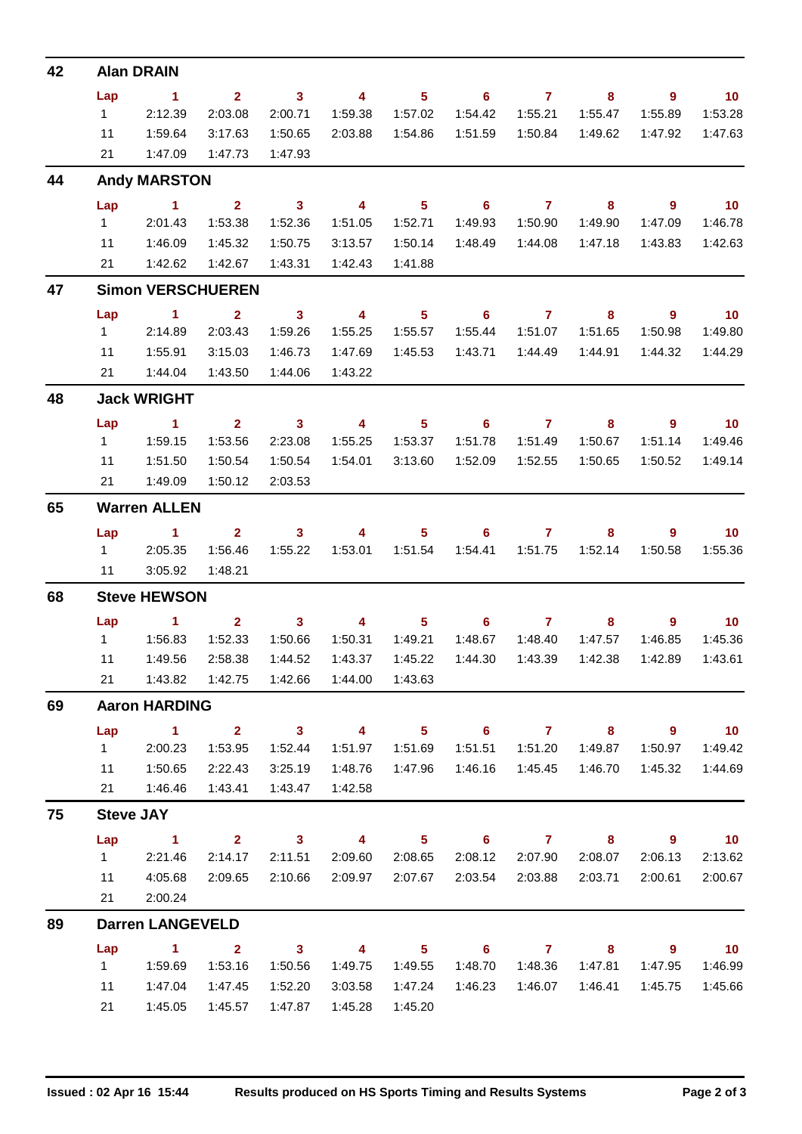| 42 |                | <b>Alan DRAIN</b>                                |                         |                            |                         |                |                                   |                |         |                            |                             |
|----|----------------|--------------------------------------------------|-------------------------|----------------------------|-------------------------|----------------|-----------------------------------|----------------|---------|----------------------------|-----------------------------|
|    | Lap            | $\sim$ 1                                         | $2^{\circ}$             | $\sim$ 3                   | $\overline{\mathbf{4}}$ | 5 <sub>1</sub> | $\overline{\phantom{a}}$ 6        | $\overline{7}$ | 8       | $\overline{9}$             | $\overline{10}$             |
|    | $1 \quad$      | 2:12.39                                          | 2:03.08                 | 2:00.71                    | 1:59.38                 | 1:57.02        | 1:54.42                           | 1:55.21        | 1:55.47 | 1:55.89                    | 1:53.28                     |
|    | 11             | 1:59.64                                          | 3:17.63                 | 1:50.65                    | 2:03.88                 | 1:54.86        | 1:51.59                           | 1:50.84        | 1:49.62 | 1:47.92                    | 1:47.63                     |
|    | 21             | 1:47.09                                          | 1:47.73                 | 1:47.93                    |                         |                |                                   |                |         |                            |                             |
| 44 |                | <b>Andy MARSTON</b>                              |                         |                            |                         |                |                                   |                |         |                            |                             |
|    | Lap            | $\sim$ $\sim$ 1                                  | $\overline{\mathbf{2}}$ | $\overline{\phantom{a}}$ 3 | $\overline{\mathbf{4}}$ | 5 <sub>5</sub> | $\overline{\phantom{0}}$ 6        | $\overline{7}$ | 8       | $9^{\circ}$                | $\overline{10}$             |
|    | $1 \quad$      | 2:01.43                                          | 1:53.38                 | 1:52.36                    | 1:51.05                 | 1:52.71        | 1:49.93                           | 1:50.90        | 1:49.90 | 1:47.09                    | 1:46.78                     |
|    | 11             | 1:46.09                                          | 1:45.32                 | 1:50.75                    | 3:13.57                 | 1:50.14        | 1:48.49                           | 1:44.08        | 1:47.18 | 1:43.83                    | 1:42.63                     |
|    | 21             | 1:42.62                                          | 1:42.67                 | 1:43.31                    | 1:42.43                 | 1:41.88        |                                   |                |         |                            |                             |
| 47 |                | <b>Simon VERSCHUEREN</b>                         |                         |                            |                         |                |                                   |                |         |                            |                             |
|    | Lap            | $\blacktriangleleft$                             | $\mathbf{2}$            | $\mathbf{3}$               | $\overline{\mathbf{4}}$ | 5 <sup>5</sup> | 6                                 | $\overline{7}$ | 8       | $\overline{9}$             | $\overline{10}$             |
|    | $1 -$          | 2:14.89                                          | 2:03.43                 | 1:59.26                    | 1:55.25                 | 1:55.57        | 1:55.44                           | 1:51.07        | 1:51.65 | 1:50.98                    | 1:49.80                     |
|    | 11             | 1:55.91                                          | 3:15.03                 | 1:46.73                    | 1:47.69                 | 1:45.53        | 1:43.71                           | 1:44.49        | 1:44.91 | 1:44.32                    | 1:44.29                     |
|    | 21             | 1:44.04                                          | 1:43.50                 | 1:44.06                    | 1:43.22                 |                |                                   |                |         |                            |                             |
| 48 |                | <b>Jack WRIGHT</b>                               |                         |                            |                         |                |                                   |                |         |                            |                             |
|    | Lap            | $\sim$ 1                                         | $\overline{2}$          | $\overline{\phantom{a}}$ 3 | $\overline{\mathbf{4}}$ | 5 <sub>5</sub> | $\overline{\phantom{0}}$ 6        | $\overline{7}$ | 8       | $\overline{9}$             | $\overline{\phantom{0}}$ 10 |
|    | $1 \quad$      | 1:59.15                                          | 1:53.56                 | 2:23.08                    | 1:55.25                 | 1:53.37        | 1:51.78                           | 1:51.49        | 1:50.67 | 1:51.14                    | 1:49.46                     |
|    | 11             | 1:51.50                                          | 1:50.54                 | 1:50.54                    | 1:54.01                 | 3:13.60        | 1:52.09                           | 1:52.55        | 1:50.65 | 1:50.52                    | 1:49.14                     |
|    | 21             | 1:49.09                                          | 1:50.12                 | 2:03.53                    |                         |                |                                   |                |         |                            |                             |
| 65 |                | <b>Warren ALLEN</b>                              |                         |                            |                         |                |                                   |                |         |                            |                             |
|    | Lap            | $\sim$ 1                                         | $\mathbf{2}$            | $\sim$ 3                   | 4                       | 5 <sub>1</sub> | $\overline{6}$ and $\overline{7}$ |                | 8       | 9                          | $\overline{10}$             |
|    | $1 \quad \Box$ | 2:05.35                                          | 1:56.46                 | 1:55.22                    | 1:53.01                 | 1:51.54        | 1:54.41                           | 1:51.75        | 1:52.14 | 1:50.58                    | 1:55.36                     |
|    | 11             | 3:05.92                                          | 1:48.21                 |                            |                         |                |                                   |                |         |                            |                             |
| 68 |                | <b>Steve HEWSON</b>                              |                         |                            |                         |                |                                   |                |         |                            |                             |
|    | Lap            | $\blacktriangleleft$                             | $\mathbf{2}$            | $\mathbf{3}$               | $\overline{4}$          | 5 <sup>5</sup> | 6                                 | $\mathbf{7}$   | 8       | $\overline{9}$             | 10 <sub>1</sub>             |
|    |                |                                                  | 1:52.33                 | 1:50.66                    | 1:50.31                 | 1:49.21        | 1:48.67                           | 1:48.40        | 1:47.57 | 1:46.85                    | 1:45.36                     |
|    | 11             | 1:49.56                                          | 2:58.38                 | 1:44.52                    | 1:43.37                 | 1:45.22        | 1:44.30                           | 1:43.39        | 1:42.38 | 1:42.89                    | 1:43.61                     |
|    | 21             | 1:43.82                                          |                         |                            | 1:44.00                 | 1:43.63        |                                   |                |         |                            |                             |
| 69 |                | <b>Aaron HARDING</b>                             |                         |                            |                         |                |                                   |                |         |                            |                             |
|    | Lap            | $\sim$ 1                                         | $\overline{\mathbf{2}}$ | $\overline{\mathbf{3}}$    | $\overline{4}$          | 5 <sup>5</sup> | $\overline{\phantom{0}}$ 6        | $\overline{7}$ | 8       | $9^{\circ}$                | $\overline{10}$             |
|    | $1 -$          | 2:00.23                                          | 1:53.95                 | 1:52.44                    | 1:51.97                 | 1:51.69        | 1:51.51                           | 1:51.20        | 1:49.87 | 1:50.97                    | 1:49.42                     |
|    | 11             | 1:50.65                                          | 2:22.43                 | 3:25.19                    | 1:48.76                 | 1:47.96        | 1:46.16                           | 1:45.45        | 1:46.70 | 1:45.32                    | 1:44.69                     |
|    | 21             | 1:46.46                                          | 1:43.41                 | 1:43.47                    | 1:42.58                 |                |                                   |                |         |                            |                             |
| 75 |                | <b>Steve JAY</b>                                 |                         |                            |                         |                |                                   |                |         |                            |                             |
|    | Lap            | $\sim$ 1                                         | $\overline{2}$          | $\overline{\mathbf{3}}$    | $\overline{4}$          | 5 <sub>5</sub> | $\overline{\phantom{0}}$ 6        | $\overline{7}$ | 8       | 9                          | $\overline{10}$             |
|    | $1 \quad$      | 2:21.46                                          | 2:14.17                 | 2:11.51                    | 2:09.60                 | 2:08.65        | 2:08.12                           | 2:07.90        | 2:08.07 | 2:06.13                    | 2:13.62                     |
|    | 11             | 4:05.68                                          | 2:09.65                 | 2:10.66                    | 2:09.97                 | 2:07.67        | 2:03.54                           | 2:03.88        | 2:03.71 | 2:00.61                    | 2:00.67                     |
|    | 21             | 2:00.24                                          |                         |                            |                         |                |                                   |                |         |                            |                             |
| 89 |                | <b>Darren LANGEVELD</b>                          |                         |                            |                         |                |                                   |                |         |                            |                             |
|    | Lap            | $\begin{array}{ccc} & 1 & \quad & 2 \end{array}$ |                         | $\overline{\mathbf{3}}$    | $\overline{4}$          | 5 <sub>5</sub> |                                   | 6 7 8          |         | $\overline{\phantom{a}}$ 9 | $\overline{10}$             |
|    | $1 \quad$      | 1:59.69                                          | 1:53.16                 | 1:50.56                    | 1:49.75                 | 1:49.55        | 1:48.70                           | 1:48.36        | 1:47.81 | 1:47.95                    | 1:46.99                     |
|    | 11             | 1:47.04                                          | 1:47.45                 | 1:52.20                    | 3:03.58                 | 1:47.24        | 1:46.23                           | 1:46.07        | 1:46.41 | 1:45.75                    | 1:45.66                     |
|    | 21             | 1:45.05                                          | 1:45.57                 | 1:47.87                    | 1:45.28                 | 1:45.20        |                                   |                |         |                            |                             |